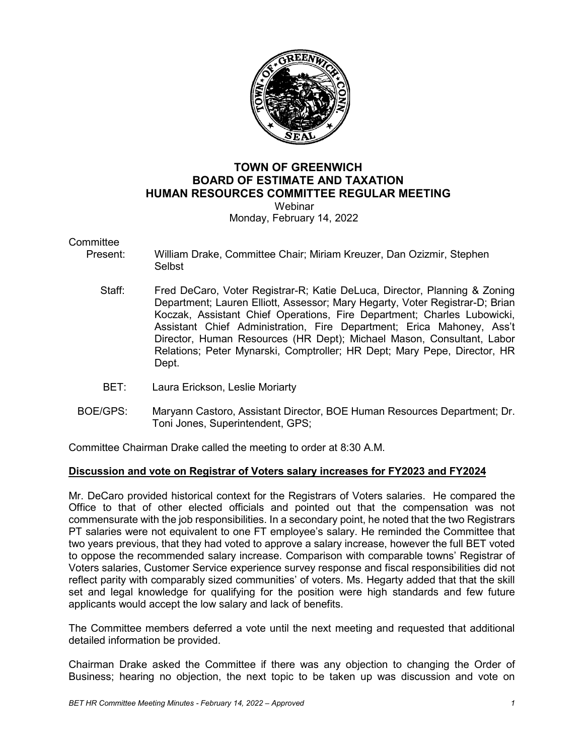

# **TOWN OF GREENWICH BOARD OF ESTIMATE AND TAXATION HUMAN RESOURCES COMMITTEE REGULAR MEETING**

 Webinar Monday, February 14, 2022

#### **Committee**

- Present: William Drake, Committee Chair; Miriam Kreuzer, Dan Ozizmir, Stephen Selbst
	- Staff: Fred DeCaro, Voter Registrar-R; Katie DeLuca, Director, Planning & Zoning Department; Lauren Elliott, Assessor; Mary Hegarty, Voter Registrar-D; Brian Koczak, Assistant Chief Operations, Fire Department; Charles Lubowicki, Assistant Chief Administration, Fire Department; Erica Mahoney, Ass't Director, Human Resources (HR Dept); Michael Mason, Consultant, Labor Relations; Peter Mynarski, Comptroller; HR Dept; Mary Pepe, Director, HR Dept.
	- BET: Laura Erickson, Leslie Moriarty
- BOE/GPS: Maryann Castoro, Assistant Director, BOE Human Resources Department; Dr. Toni Jones, Superintendent, GPS;

Committee Chairman Drake called the meeting to order at 8:30 A.M.

## **Discussion and vote on Registrar of Voters salary increases for FY2023 and FY2024**

Mr. DeCaro provided historical context for the Registrars of Voters salaries. He compared the Office to that of other elected officials and pointed out that the compensation was not commensurate with the job responsibilities. In a secondary point, he noted that the two Registrars PT salaries were not equivalent to one FT employee's salary. He reminded the Committee that two years previous, that they had voted to approve a salary increase, however the full BET voted to oppose the recommended salary increase. Comparison with comparable towns' Registrar of Voters salaries, Customer Service experience survey response and fiscal responsibilities did not reflect parity with comparably sized communities' of voters. Ms. Hegarty added that that the skill set and legal knowledge for qualifying for the position were high standards and few future applicants would accept the low salary and lack of benefits.

The Committee members deferred a vote until the next meeting and requested that additional detailed information be provided.

Chairman Drake asked the Committee if there was any objection to changing the Order of Business; hearing no objection, the next topic to be taken up was discussion and vote on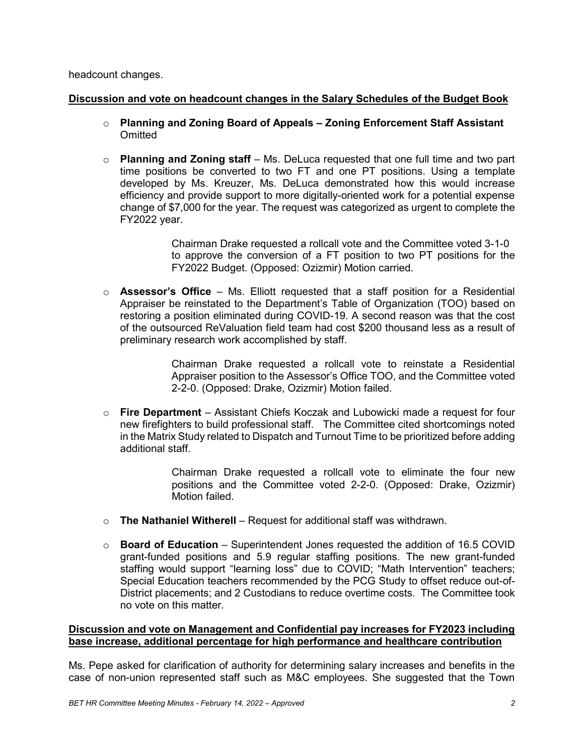headcount changes.

## **Discussion and vote on headcount changes in the Salary Schedules of the Budget Book**

- o **Planning and Zoning Board of Appeals – Zoning Enforcement Staff Assistant Omitted**
- o **Planning and Zoning staff** Ms. DeLuca requested that one full time and two part time positions be converted to two FT and one PT positions. Using a template developed by Ms. Kreuzer, Ms. DeLuca demonstrated how this would increase efficiency and provide support to more digitally-oriented work for a potential expense change of \$7,000 for the year. The request was categorized as urgent to complete the FY2022 year.

Chairman Drake requested a rollcall vote and the Committee voted 3-1-0 to approve the conversion of a FT position to two PT positions for the FY2022 Budget. (Opposed: Ozizmir) Motion carried.

o **Assessor's Office** – Ms. Elliott requested that a staff position for a Residential Appraiser be reinstated to the Department's Table of Organization (TOO) based on restoring a position eliminated during COVID-19. A second reason was that the cost of the outsourced ReValuation field team had cost \$200 thousand less as a result of preliminary research work accomplished by staff.

> Chairman Drake requested a rollcall vote to reinstate a Residential Appraiser position to the Assessor's Office TOO, and the Committee voted 2-2-0. (Opposed: Drake, Ozizmir) Motion failed.

o **Fire Department** – Assistant Chiefs Koczak and Lubowicki made a request for four new firefighters to build professional staff. The Committee cited shortcomings noted in the Matrix Study related to Dispatch and Turnout Time to be prioritized before adding additional staff.

> Chairman Drake requested a rollcall vote to eliminate the four new positions and the Committee voted 2-2-0. (Opposed: Drake, Ozizmir) Motion failed.

- o **The Nathaniel Witherell** Request for additional staff was withdrawn.
- o **Board of Education**  Superintendent Jones requested the addition of 16.5 COVID grant-funded positions and 5.9 regular staffing positions. The new grant-funded staffing would support "learning loss" due to COVID; "Math Intervention" teachers; Special Education teachers recommended by the PCG Study to offset reduce out-of-District placements; and 2 Custodians to reduce overtime costs. The Committee took no vote on this matter.

## **Discussion and vote on Management and Confidential pay increases for FY2023 including base increase, additional percentage for high performance and healthcare contribution**

Ms. Pepe asked for clarification of authority for determining salary increases and benefits in the case of non-union represented staff such as M&C employees. She suggested that the Town